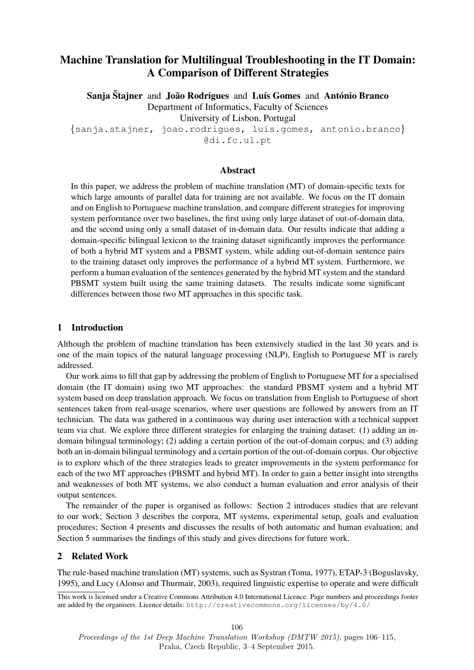# Machine Translation for Multilingual Troubleshooting in the IT Domain: A Comparison of Different Strategies

Sanja Štajner and João Rodrigues and Luís Gomes and António Branco Department of Informatics, Faculty of Sciences University of Lisbon, Portugal

{sanja.stajner, joao.rodrigues, luis.gomes, antonio.branco} @di.fc.ul.pt

#### Abstract

In this paper, we address the problem of machine translation (MT) of domain-specific texts for which large amounts of parallel data for training are not available. We focus on the IT domain and on English to Portuguese machine translation, and compare different strategies for improving system performance over two baselines, the first using only large dataset of out-of-domain data, and the second using only a small dataset of in-domain data. Our results indicate that adding a domain-specific bilingual lexicon to the training dataset significantly improves the performance of both a hybrid MT system and a PBSMT system, while adding out-of-domain sentence pairs to the training dataset only improves the performance of a hybrid MT system. Furthermore, we perform a human evaluation of the sentences generated by the hybrid MT system and the standard PBSMT system built using the same training datasets. The results indicate some significant differences between those two MT approaches in this specific task.

# 1 Introduction

Although the problem of machine translation has been extensively studied in the last 30 years and is one of the main topics of the natural language processing (NLP), English to Portuguese MT is rarely addressed.

Our work aims to fill that gap by addressing the problem of English to Portuguese MT for a specialised domain (the IT domain) using two MT approaches: the standard PBSMT system and a hybrid MT system based on deep translation approach. We focus on translation from English to Portuguese of short sentences taken from real-usage scenarios, where user questions are followed by answers from an IT technician. The data was gathered in a continuous way during user interaction with a technical support team via chat. We explore three different strategies for enlarging the training dataset: (1) adding an indomain bilingual terminology; (2) adding a certain portion of the out-of-domain corpus; and (3) adding both an in-domain bilingual terminology and a certain portion of the out-of-domain corpus. Our objective is to explore which of the three strategies leads to greater improvements in the system performance for each of the two MT approaches (PBSMT and hybrid MT). In order to gain a better insight into strengths and weaknesses of both MT systems, we also conduct a human evaluation and error analysis of their output sentences.

The remainder of the paper is organised as follows: Section 2 introduces studies that are relevant to our work; Section 3 describes the corpora, MT systems, experimental setup, goals and evaluation procedures; Section 4 presents and discusses the results of both automatic and human evaluation; and Section 5 summarises the findings of this study and gives directions for future work.

# 2 Related Work

The rule-based machine translation (MT) systems, such as Systran (Toma, 1977), ETAP-3 (Boguslavsky, 1995), and Lucy (Alonso and Thurmair, 2003), required linguistic expertise to operate and were difficult

This work is licensed under a Creative Commons Attribution 4.0 International Licence. Page numbers and proceedings footer are added by the organisers. Licence details: http://creativecommons.org/licenses/by/4.0/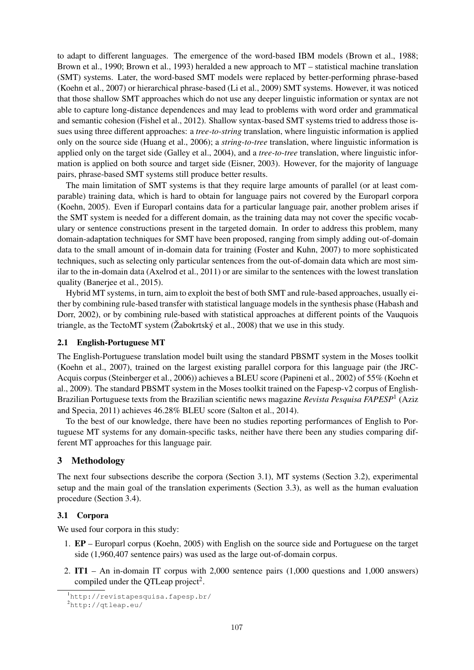to adapt to different languages. The emergence of the word-based IBM models (Brown et al., 1988; Brown et al., 1990; Brown et al., 1993) heralded a new approach to MT – statistical machine translation (SMT) systems. Later, the word-based SMT models were replaced by better-performing phrase-based (Koehn et al., 2007) or hierarchical phrase-based (Li et al., 2009) SMT systems. However, it was noticed that those shallow SMT approaches which do not use any deeper linguistic information or syntax are not able to capture long-distance dependences and may lead to problems with word order and grammatical and semantic cohesion (Fishel et al., 2012). Shallow syntax-based SMT systems tried to address those issues using three different approaches: a *tree-to-string* translation, where linguistic information is applied only on the source side (Huang et al., 2006); a *string-to-tree* translation, where linguistic information is applied only on the target side (Galley et al., 2004), and a *tree-to-tree* translation, where linguistic information is applied on both source and target side (Eisner, 2003). However, for the majority of language pairs, phrase-based SMT systems still produce better results.

The main limitation of SMT systems is that they require large amounts of parallel (or at least comparable) training data, which is hard to obtain for language pairs not covered by the Europarl corpora (Koehn, 2005). Even if Europarl contains data for a particular language pair, another problem arises if the SMT system is needed for a different domain, as the training data may not cover the specific vocabulary or sentence constructions present in the targeted domain. In order to address this problem, many domain-adaptation techniques for SMT have been proposed, ranging from simply adding out-of-domain data to the small amount of in-domain data for training (Foster and Kuhn, 2007) to more sophisticated techniques, such as selecting only particular sentences from the out-of-domain data which are most similar to the in-domain data (Axelrod et al., 2011) or are similar to the sentences with the lowest translation quality (Banerjee et al., 2015).

Hybrid MT systems, in turn, aim to exploit the best of both SMT and rule-based approaches, usually either by combining rule-based transfer with statistical language models in the synthesis phase (Habash and Dorr, 2002), or by combining rule-based with statistical approaches at different points of the Vauquois triangle, as the TectoMT system ( $\check{Z}$ abokrtský et al., 2008) that we use in this study.

# 2.1 English-Portuguese MT

The English-Portuguese translation model built using the standard PBSMT system in the Moses toolkit (Koehn et al., 2007), trained on the largest existing parallel corpora for this language pair (the JRC-Acquis corpus (Steinberger et al., 2006)) achieves a BLEU score (Papineni et al., 2002) of 55% (Koehn et al., 2009). The standard PBSMT system in the Moses toolkit trained on the Fapesp-v2 corpus of English-Brazilian Portuguese texts from the Brazilian scientific news magazine *Revista Pesquisa FAPESP*<sup>1</sup> (Aziz and Specia, 2011) achieves 46.28% BLEU score (Salton et al., 2014).

To the best of our knowledge, there have been no studies reporting performances of English to Portuguese MT systems for any domain-specific tasks, neither have there been any studies comparing different MT approaches for this language pair.

# 3 Methodology

The next four subsections describe the corpora (Section 3.1), MT systems (Section 3.2), experimental setup and the main goal of the translation experiments (Section 3.3), as well as the human evaluation procedure (Section 3.4).

# 3.1 Corpora

We used four corpora in this study:

- 1. EP Europarl corpus (Koehn, 2005) with English on the source side and Portuguese on the target side (1,960,407 sentence pairs) was used as the large out-of-domain corpus.
- 2. IT1 An in-domain IT corpus with 2,000 sentence pairs (1,000 questions and 1,000 answers) compiled under the QTLeap project<sup>2</sup>.

<sup>1</sup>http://revistapesquisa.fapesp.br/

<sup>2</sup>http://qtleap.eu/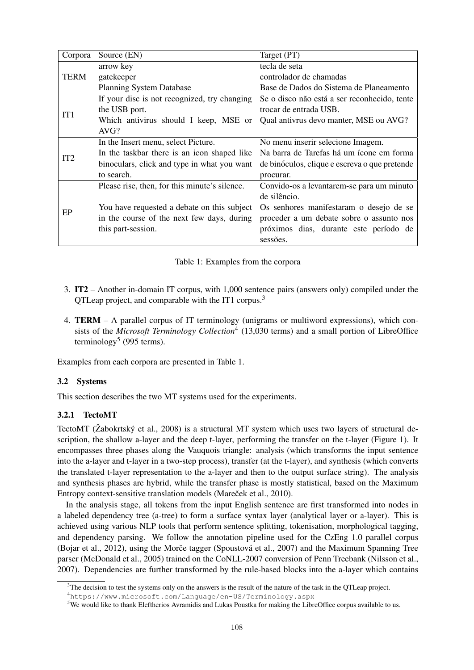| Corpora         | Source (EN)                                   | Target (PT)                                   |
|-----------------|-----------------------------------------------|-----------------------------------------------|
|                 | arrow key                                     | tecla de seta                                 |
| <b>TERM</b>     | gatekeeper                                    | controlador de chamadas                       |
|                 | <b>Planning System Database</b>               | Base de Dados do Sistema de Planeamento       |
|                 | If your disc is not recognized, try changing  | Se o disco não está a ser reconhecido, tente  |
| IT <sub>1</sub> | the USB port.                                 | trocar de entrada USB.                        |
|                 | Which antivirus should I keep, MSE or         | Qual antivrus devo manter, MSE ou AVG?        |
|                 | AVG?                                          |                                               |
|                 | In the Insert menu, select Picture.           | No menu inserir selecione Imagem.             |
| IT <sub>2</sub> | In the taskbar there is an icon shaped like   | Na barra de Tarefas há um ícone em forma      |
|                 | binoculars, click and type in what you want   | de binóculos, clique e escreva o que pretende |
|                 | to search.                                    | procurar.                                     |
|                 | Please rise, then, for this minute's silence. | Convido-os a levantarem-se para um minuto     |
|                 |                                               | de silêncio.                                  |
| EP              | You have requested a debate on this subject   | Os senhores manifestaram o desejo de se       |
|                 | in the course of the next few days, during    | proceder a um debate sobre o assunto nos      |
|                 | this part-session.                            | próximos dias, durante este período de        |
|                 |                                               | sessões.                                      |

|  | Table 1: Examples from the corpora |  |  |  |
|--|------------------------------------|--|--|--|
|  |                                    |  |  |  |

- 3. IT2 Another in-domain IT corpus, with 1,000 sentence pairs (answers only) compiled under the QTLeap project, and comparable with the IT1 corpus.<sup>3</sup>
- 4. TERM A parallel corpus of IT terminology (unigrams or multiword expressions), which consists of the *Microsoft Terminology Collection*<sup>4</sup> (13,030 terms) and a small portion of LibreOffice terminology<sup>5</sup> (995 terms).

Examples from each corpora are presented in Table 1.

# 3.2 Systems

This section describes the two MT systems used for the experiments.

# 3.2.1 TectoMT

TectoMT (Žabokrtský et al., 2008) is a structural MT system which uses two layers of structural description, the shallow a-layer and the deep t-layer, performing the transfer on the t-layer (Figure 1). It encompasses three phases along the Vauquois triangle: analysis (which transforms the input sentence into the a-layer and t-layer in a two-step process), transfer (at the t-layer), and synthesis (which converts the translated t-layer representation to the a-layer and then to the output surface string). The analysis and synthesis phases are hybrid, while the transfer phase is mostly statistical, based on the Maximum Entropy context-sensitive translation models (Mareček et al., 2010).

In the analysis stage, all tokens from the input English sentence are first transformed into nodes in a labeled dependency tree (a-tree) to form a surface syntax layer (analytical layer or a-layer). This is achieved using various NLP tools that perform sentence splitting, tokenisation, morphological tagging, and dependency parsing. We follow the annotation pipeline used for the CzEng 1.0 parallel corpus (Bojar et al., 2012), using the Morče tagger (Spoustová et al., 2007) and the Maximum Spanning Tree parser (McDonald et al., 2005) trained on the CoNLL-2007 conversion of Penn Treebank (Nilsson et al., 2007). Dependencies are further transformed by the rule-based blocks into the a-layer which contains

 $3$ The decision to test the systems only on the answers is the result of the nature of the task in the QTLeap project.

<sup>4</sup>https://www.microsoft.com/Language/en-US/Terminology.aspx

<sup>5</sup>We would like to thank Eleftherios Avramidis and Lukas Poustka for making the LibreOffice corpus available to us.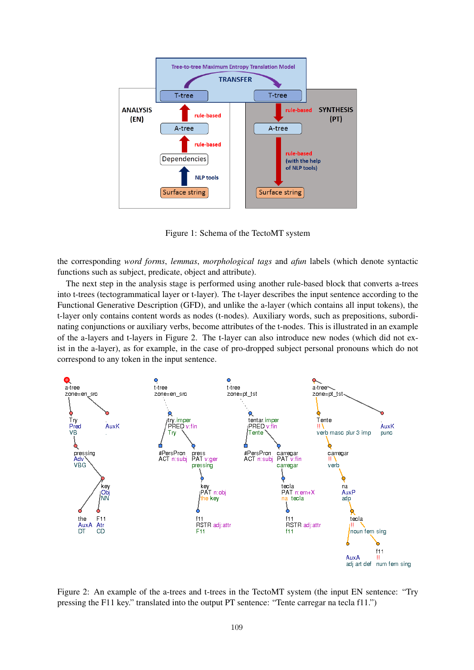

Figure 1: Schema of the TectoMT system

the corresponding *word forms*, *lemmas*, *morphological tags* and *afun* labels (which denote syntactic functions such as subject, predicate, object and attribute).

The next step in the analysis stage is performed using another rule-based block that converts a-trees into t-trees (tectogrammatical layer or t-layer). The t-layer describes the input sentence according to the Functional Generative Description (GFD), and unlike the a-layer (which contains all input tokens), the t-layer only contains content words as nodes (t-nodes). Auxiliary words, such as prepositions, subordinating conjunctions or auxiliary verbs, become attributes of the t-nodes. This is illustrated in an example of the a-layers and t-layers in Figure 2. The t-layer can also introduce new nodes (which did not exist in the a-layer), as for example, in the case of pro-dropped subject personal pronouns which do not correspond to any token in the input sentence.



Figure 2: An example of the a-trees and t-trees in the TectoMT system (the input EN sentence: "Try pressing the F11 key." translated into the output PT sentence: "Tente carregar na tecla f11.")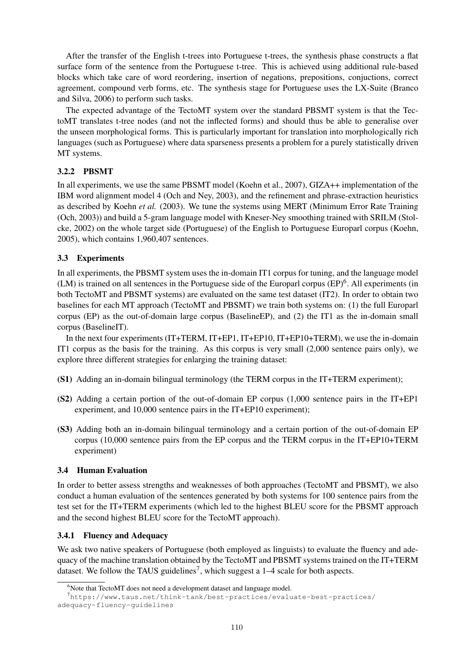After the transfer of the English t-trees into Portuguese t-trees, the synthesis phase constructs a flat surface form of the sentence from the Portuguese t-tree. This is achieved using additional rule-based blocks which take care of word reordering, insertion of negations, prepositions, conjuctions, correct agreement, compound verb forms, etc. The synthesis stage for Portuguese uses the LX-Suite (Branco and Silva, 2006) to perform such tasks.

The expected advantage of the TectoMT system over the standard PBSMT system is that the TectoMT translates t-tree nodes (and not the inflected forms) and should thus be able to generalise over the unseen morphological forms. This is particularly important for translation into morphologically rich languages (such as Portuguese) where data sparseness presents a problem for a purely statistically driven MT systems.

# 3.2.2 PBSMT

In all experiments, we use the same PBSMT model (Koehn et al., 2007), GIZA++ implementation of the IBM word alignment model 4 (Och and Ney, 2003), and the refinement and phrase-extraction heuristics as described by Koehn *et al.* (2003). We tune the systems using MERT (Minimum Error Rate Training (Och, 2003)) and build a 5-gram language model with Kneser-Ney smoothing trained with SRILM (Stolcke, 2002) on the whole target side (Portuguese) of the English to Portuguese Europarl corpus (Koehn, 2005), which contains 1,960,407 sentences.

# 3.3 Experiments

In all experiments, the PBSMT system uses the in-domain IT1 corpus for tuning, and the language model  $(LM)$  is trained on all sentences in the Portuguese side of the Europarl corpus  $(EP)^6$ . All experiments (in both TectoMT and PBSMT systems) are evaluated on the same test dataset (IT2). In order to obtain two baselines for each MT approach (TectoMT and PBSMT) we train both systems on: (1) the full Europarl corpus (EP) as the out-of-domain large corpus (BaselineEP), and (2) the IT1 as the in-domain small corpus (BaselineIT).

In the next four experiments (IT+TERM, IT+EP1, IT+EP10, IT+EP10+TERM), we use the in-domain IT1 corpus as the basis for the training. As this corpus is very small (2,000 sentence pairs only), we explore three different strategies for enlarging the training dataset:

- (S1) Adding an in-domain bilingual terminology (the TERM corpus in the IT+TERM experiment);
- (S2) Adding a certain portion of the out-of-domain EP corpus (1,000 sentence pairs in the IT+EP1 experiment, and 10,000 sentence pairs in the IT+EP10 experiment);
- (S3) Adding both an in-domain bilingual terminology and a certain portion of the out-of-domain EP corpus (10,000 sentence pairs from the EP corpus and the TERM corpus in the IT+EP10+TERM experiment)

# 3.4 Human Evaluation

In order to better assess strengths and weaknesses of both approaches (TectoMT and PBSMT), we also conduct a human evaluation of the sentences generated by both systems for 100 sentence pairs from the test set for the IT+TERM experiments (which led to the highest BLEU score for the PBSMT approach and the second highest BLEU score for the TectoMT approach).

# 3.4.1 Fluency and Adequacy

We ask two native speakers of Portuguese (both employed as linguists) to evaluate the fluency and adequacy of the machine translation obtained by the TectoMT and PBSMT systems trained on the IT+TERM dataset. We follow the TAUS guidelines<sup>7</sup>, which suggest a  $1-4$  scale for both aspects.

<sup>&</sup>lt;sup>6</sup>Note that TectoMT does not need a development dataset and language model.

<sup>7</sup>https://www.taus.net/think-tank/best-practices/evaluate-best-practices/ adequacy-fluency-guidelines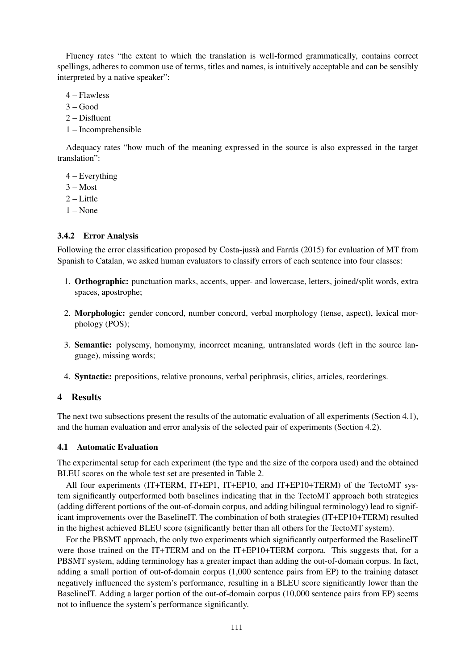Fluency rates "the extent to which the translation is well-formed grammatically, contains correct spellings, adheres to common use of terms, titles and names, is intuitively acceptable and can be sensibly interpreted by a native speaker":

- 4 Flawless
- $3 Good$
- 2 Disfluent
- 1 Incomprehensible

Adequacy rates "how much of the meaning expressed in the source is also expressed in the target translation":

- 4 Everything
- 3 Most
- $2 -$ Little
- 1 None

# 3.4.2 Error Analysis

Following the error classification proposed by Costa-jussà and Farrús (2015) for evaluation of MT from Spanish to Catalan, we asked human evaluators to classify errors of each sentence into four classes:

- 1. Orthographic: punctuation marks, accents, upper- and lowercase, letters, joined/split words, extra spaces, apostrophe;
- 2. Morphologic: gender concord, number concord, verbal morphology (tense, aspect), lexical morphology (POS);
- 3. Semantic: polysemy, homonymy, incorrect meaning, untranslated words (left in the source language), missing words;
- 4. Syntactic: prepositions, relative pronouns, verbal periphrasis, clitics, articles, reorderings.

# 4 Results

The next two subsections present the results of the automatic evaluation of all experiments (Section 4.1), and the human evaluation and error analysis of the selected pair of experiments (Section 4.2).

# 4.1 Automatic Evaluation

The experimental setup for each experiment (the type and the size of the corpora used) and the obtained BLEU scores on the whole test set are presented in Table 2.

All four experiments (IT+TERM, IT+EP1, IT+EP10, and IT+EP10+TERM) of the TectoMT system significantly outperformed both baselines indicating that in the TectoMT approach both strategies (adding different portions of the out-of-domain corpus, and adding bilingual terminology) lead to significant improvements over the BaselineIT. The combination of both strategies (IT+EP10+TERM) resulted in the highest achieved BLEU score (significantly better than all others for the TectoMT system).

For the PBSMT approach, the only two experiments which significantly outperformed the BaselineIT were those trained on the IT+TERM and on the IT+EP10+TERM corpora. This suggests that, for a PBSMT system, adding terminology has a greater impact than adding the out-of-domain corpus. In fact, adding a small portion of out-of-domain corpus (1,000 sentence pairs from EP) to the training dataset negatively influenced the system's performance, resulting in a BLEU score significantly lower than the BaselineIT. Adding a larger portion of the out-of-domain corpus (10,000 sentence pairs from EP) seems not to influence the system's performance significantly.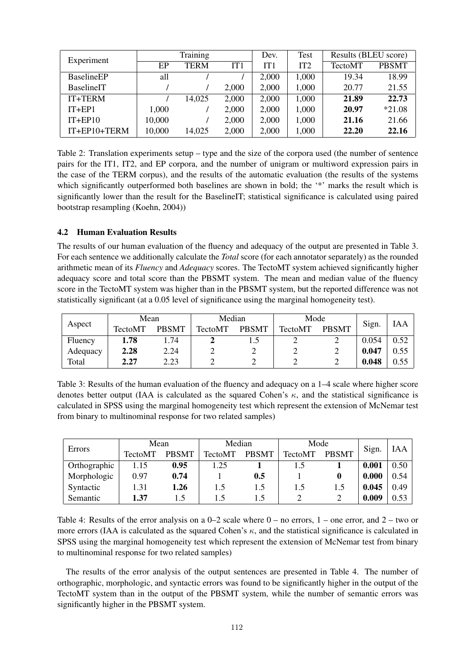| Experiment         |        | Training    |       | Dev.  | Test            | Results (BLEU score) |              |
|--------------------|--------|-------------|-------|-------|-----------------|----------------------|--------------|
|                    | EP     | <b>TERM</b> | IT1   | IT1   | IT <sub>2</sub> | <b>TectoMT</b>       | <b>PBSMT</b> |
| <b>BaselineEP</b>  | all    |             |       | 2,000 | 1,000           | 19.34                | 18.99        |
| <b>BaselineIT</b>  |        |             | 2,000 | 2,000 | 1,000           | 20.77                | 21.55        |
| IT+TERM            |        | 14,025      | 2,000 | 2,000 | 1,000           | 21.89                | 22.73        |
| $IT + EP1$         | 1,000  |             | 2,000 | 2,000 | 1,000           | 20.97                | $*21.08$     |
| $IT + EP10$        | 10,000 |             | 2,000 | 2,000 | 1,000           | 21.16                | 21.66        |
| $IT + EP10 + TERN$ | 10,000 | 14,025      | 2,000 | 2,000 | 1,000           | 22.20                | 22.16        |

Table 2: Translation experiments setup – type and the size of the corpora used (the number of sentence pairs for the IT1, IT2, and EP corpora, and the number of unigram or multiword expression pairs in the case of the TERM corpus), and the results of the automatic evaluation (the results of the systems which significantly outperformed both baselines are shown in bold; the '\*' marks the result which is significantly lower than the result for the BaselineIT; statistical significance is calculated using paired bootstrap resampling (Koehn, 2004))

# 4.2 Human Evaluation Results

The results of our human evaluation of the fluency and adequacy of the output are presented in Table 3. For each sentence we additionally calculate the *Total* score (for each annotator separately) as the rounded arithmetic mean of its *Fluency* and *Adequacy* scores. The TectoMT system achieved significantly higher adequacy score and total score than the PBSMT system. The mean and median value of the fluency score in the TectoMT system was higher than in the PBSMT system, but the reported difference was not statistically significant (at a 0.05 level of significance using the marginal homogeneity test).

| Aspect   | Mean           |              | Median         |              | Mode           |              |       |      |
|----------|----------------|--------------|----------------|--------------|----------------|--------------|-------|------|
|          | <b>TectoMT</b> | <b>PBSMT</b> | <b>TectoMT</b> | <b>PBSMT</b> | <b>TectoMT</b> | <b>PBSMT</b> | Sign. | IAA  |
| Fluency  | 1.78           | L.74         |                |              |                |              | 0.054 | 0.52 |
| Adequacy | 2.28           | 2.24         |                |              |                |              | 0.047 | 0.55 |
| Total    | 2.27           | 2.23         |                |              |                |              | 0.048 | 0.55 |

Table 3: Results of the human evaluation of the fluency and adequacy on a 1–4 scale where higher score denotes better output (IAA is calculated as the squared Cohen's  $\kappa$ , and the statistical significance is calculated in SPSS using the marginal homogeneity test which represent the extension of McNemar test from binary to multinominal response for two related samples)

|              | Mean           |              | Mode<br>Median |              |                | IAA          |       |                |
|--------------|----------------|--------------|----------------|--------------|----------------|--------------|-------|----------------|
| Errors       | <b>TectoMT</b> | <b>PBSMT</b> | TectoMT        | <b>PBSMT</b> | <b>TectoMT</b> | <b>PBSMT</b> | Sign. |                |
| Orthographic | 1.15           | 0.95         | 1.25           |              | 1.5            |              | 0.001 | $0.50^{\circ}$ |
| Morphologic  | 0.97           | 0.74         |                | 0.5          |                |              | 0.000 | 0.54           |
| Syntactic    | 1.31           | 1.26         | 1.5            | 1.5          | 1.5            | 1.5          | 0.045 | 0.49           |
| Semantic     | 1.37           | 15           |                | 1.5          |                |              | 0.009 | 0.53           |

Table 4: Results of the error analysis on a  $0-2$  scale where  $0-$  no errors,  $1-$  one error, and  $2-$  two or more errors (IAA is calculated as the squared Cohen's  $\kappa$ , and the statistical significance is calculated in SPSS using the marginal homogeneity test which represent the extension of McNemar test from binary to multinominal response for two related samples)

The results of the error analysis of the output sentences are presented in Table 4. The number of orthographic, morphologic, and syntactic errors was found to be significantly higher in the output of the TectoMT system than in the output of the PBSMT system, while the number of semantic errors was significantly higher in the PBSMT system.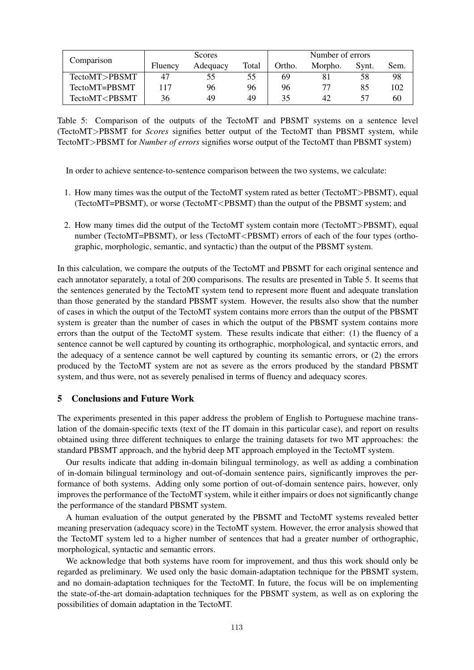|                                                                                                            |         | Number of errors<br>Scores |       |        |         |       |      |  |  |
|------------------------------------------------------------------------------------------------------------|---------|----------------------------|-------|--------|---------|-------|------|--|--|
| Comparison                                                                                                 | Fluency | Adequacy                   | Total | Ortho. | Morpho. | Synt. | Sem. |  |  |
| TectoMT>PBSMT                                                                                              | 47      | 55                         | 55    | 69     |         |       | 98   |  |  |
| TectoMT=PBSMT                                                                                              | 117     | 96                         | 96    | 96     |         | 85    | 102  |  |  |
| TectoMT <pbsmt< td=""><td>36</td><td>49</td><td>49</td><td>35</td><td>42</td><td></td><td>60</td></pbsmt<> | 36      | 49                         | 49    | 35     | 42      |       | 60   |  |  |

Table 5: Comparison of the outputs of the TectoMT and PBSMT systems on a sentence level (TectoMT>PBSMT for *Scores* signifies better output of the TectoMT than PBSMT system, while TectoMT>PBSMT for *Number of errors* signifies worse output of the TectoMT than PBSMT system)

In order to achieve sentence-to-sentence comparison between the two systems, we calculate:

- 1. How many times was the output of the TectoMT system rated as better (TectoMT>PBSMT), equal (TectoMT=PBSMT), or worse (TectoMT<PBSMT) than the output of the PBSMT system; and
- 2. How many times did the output of the TectoMT system contain more (TectoMT>PBSMT), equal number (TectoMT=PBSMT), or less (TectoMT<PBSMT) errors of each of the four types (orthographic, morphologic, semantic, and syntactic) than the output of the PBSMT system.

In this calculation, we compare the outputs of the TectoMT and PBSMT for each original sentence and each annotator separately, a total of 200 comparisons. The results are presented in Table 5. It seems that the sentences generated by the TectoMT system tend to represent more fluent and adequate translation than those generated by the standard PBSMT system. However, the results also show that the number of cases in which the output of the TectoMT system contains more errors than the output of the PBSMT system is greater than the number of cases in which the output of the PBSMT system contains more errors than the output of the TectoMT system. These results indicate that either: (1) the fluency of a sentence cannot be well captured by counting its orthographic, morphological, and syntactic errors, and the adequacy of a sentence cannot be well captured by counting its semantic errors, or (2) the errors produced by the TectoMT system are not as severe as the errors produced by the standard PBSMT system, and thus were, not as severely penalised in terms of fluency and adequacy scores.

#### 5 Conclusions and Future Work

The experiments presented in this paper address the problem of English to Portuguese machine translation of the domain-specific texts (text of the IT domain in this particular case), and report on results obtained using three different techniques to enlarge the training datasets for two MT approaches: the standard PBSMT approach, and the hybrid deep MT approach employed in the TectoMT system.

Our results indicate that adding in-domain bilingual terminology, as well as adding a combination of in-domain bilingual terminology and out-of-domain sentence pairs, significantly improves the performance of both systems. Adding only some portion of out-of-domain sentence pairs, however, only improves the performance of the TectoMT system, while it either impairs or does not significantly change the performance of the standard PBSMT system.

A human evaluation of the output generated by the PBSMT and TectoMT systems revealed better meaning preservation (adequacy score) in the TectoMT system. However, the error analysis showed that the TectoMT system led to a higher number of sentences that had a greater number of orthographic, morphological, syntactic and semantic errors.

We acknowledge that both systems have room for improvement, and thus this work should only be regarded as preliminary. We used only the basic domain-adaptation technique for the PBSMT system, and no domain-adaptation techniques for the TectoMT. In future, the focus will be on implementing the state-of-the-art domain-adaptation techniques for the PBSMT system, as well as on exploring the possibilities of domain adaptation in the TectoMT.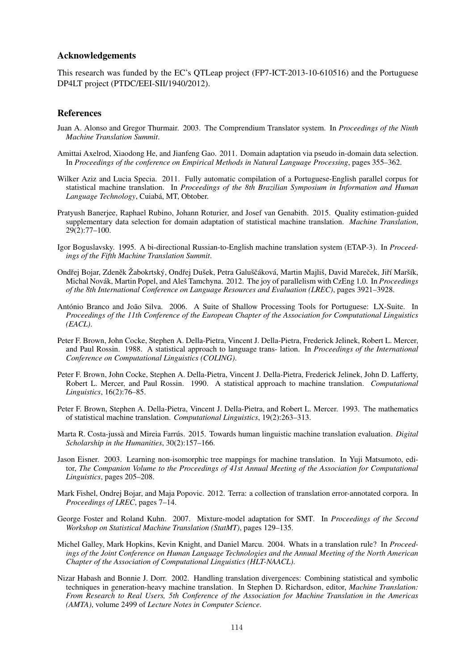#### Acknowledgements

This research was funded by the EC's QTLeap project (FP7-ICT-2013-10-610516) and the Portuguese DP4LT project (PTDC/EEI-SII/1940/2012).

#### References

- Juan A. Alonso and Gregor Thurmair. 2003. The Comprendium Translator system. In *Proceedings of the Ninth Machine Translation Summit*.
- Amittai Axelrod, Xiaodong He, and Jianfeng Gao. 2011. Domain adaptation via pseudo in-domain data selection. In *Proceedings of the conference on Empirical Methods in Natural Language Processing*, pages 355–362.
- Wilker Aziz and Lucia Specia. 2011. Fully automatic compilation of a Portuguese-English parallel corpus for statistical machine translation. In *Proceedings of the 8th Brazilian Symposium in Information and Human Language Technology*, Cuiaba, MT, Obtober. ´
- Pratyush Banerjee, Raphael Rubino, Johann Roturier, and Josef van Genabith. 2015. Quality estimation-guided supplementary data selection for domain adaptation of statistical machine translation. *Machine Translation*, 29(2):77–100.
- Igor Boguslavsky. 1995. A bi-directional Russian-to-English machine translation system (ETAP-3). In *Proceedings of the Fifth Machine Translation Summit*.
- Ondřej Bojar, Zdeněk Žabokrtský, Ondřej Dušek, Petra Galuščáková, Martin Majliš, David Mareček, Jiří Maršík, Michal Novák, Martin Popel, and Aleš Tamchyna. 2012. The joy of parallelism with CzEng 1.0. In *Proceedings of the 8th International Conference on Language Resources and Evaluation (LREC)*, pages 3921–3928.
- António Branco and João Silva. 2006. A Suite of Shallow Processing Tools for Portuguese: LX-Suite. In *Proceedings of the 11th Conference of the European Chapter of the Association for Computational Linguistics (EACL)*.
- Peter F. Brown, John Cocke, Stephen A. Della-Pietra, Vincent J. Della-Pietra, Frederick Jelinek, Robert L. Mercer, and Paul Rossin. 1988. A statistical approach to language trans- lation. In *Proceedings of the International Conference on Computational Linguistics (COLING)*.
- Peter F. Brown, John Cocke, Stephen A. Della-Pietra, Vincent J. Della-Pietra, Frederick Jelinek, John D. Lafferty, Robert L. Mercer, and Paul Rossin. 1990. A statistical approach to machine translation. *Computational Linguistics*, 16(2):76–85.
- Peter F. Brown, Stephen A. Della-Pietra, Vincent J. Della-Pietra, and Robert L. Mercer. 1993. The mathematics of statistical machine translation. *Computational Linguistics*, 19(2):263–313.
- Marta R. Costa-jussà and Mireia Farrús. 2015. Towards human linguistic machine translation evaluation. *Digital Scholarship in the Humanities*, 30(2):157–166.
- Jason Eisner. 2003. Learning non-isomorphic tree mappings for machine translation. In Yuji Matsumoto, editor, *The Companion Volume to the Proceedings of 41st Annual Meeting of the Association for Computational Linguistics*, pages 205–208.
- Mark Fishel, Ondrej Bojar, and Maja Popovic. 2012. Terra: a collection of translation error-annotated corpora. In *Proceedings of LREC*, pages 7–14.
- George Foster and Roland Kuhn. 2007. Mixture-model adaptation for SMT. In *Proceedings of the Second Workshop on Statistical Machine Translation (StatMT)*, pages 129–135.
- Michel Galley, Mark Hopkins, Kevin Knight, and Daniel Marcu. 2004. Whats in a translation rule? In *Proceedings of the Joint Conference on Human Language Technologies and the Annual Meeting of the North American Chapter of the Association of Computational Linguistics (HLT-NAACL)*.
- Nizar Habash and Bonnie J. Dorr. 2002. Handling translation divergences: Combining statistical and symbolic techniques in generation-heavy machine translation. In Stephen D. Richardson, editor, *Machine Translation: From Research to Real Users, 5th Conference of the Association for Machine Translation in the Americas (AMTA)*, volume 2499 of *Lecture Notes in Computer Science*.